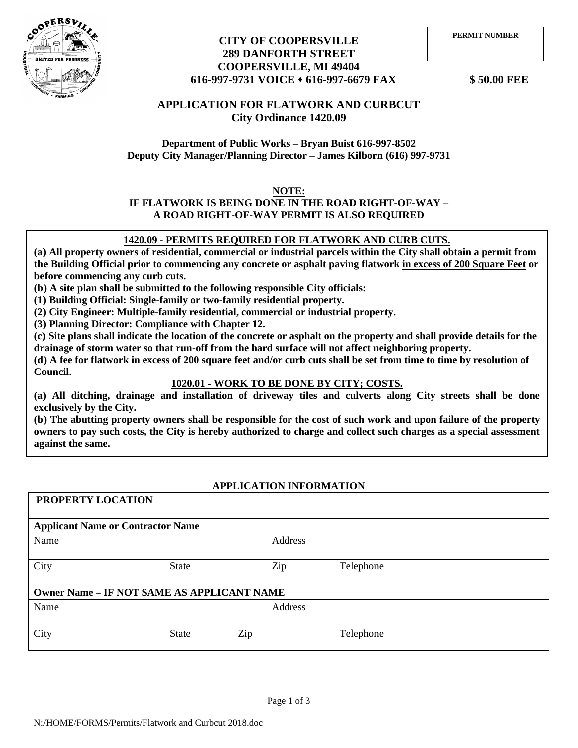

## **CITY OF COOPERSVILLE 289 DANFORTH STREET COOPERSVILLE, MI 49404 616-997-9731 VOICE** ⬧ **616-997-6679 FAX \$ 50.00 FEE**

# **APPLICATION FOR FLATWORK AND CURBCUT City Ordinance 1420.09**

**Department of Public Works – Bryan Buist 616-997-8502 Deputy City Manager/Planning Director – James Kilborn (616) 997-9731**

## **NOTE:**

### **IF FLATWORK IS BEING DONE IN THE ROAD RIGHT-OF-WAY – A ROAD RIGHT-OF-WAY PERMIT IS ALSO REQUIRED**

### 1420.09 - PERMITS REQUIRED FOR FLATWORK AND CURB CUTS.

 $\overline{\mathbf{C}^{\mathbf{C}}$ (a) All property owners of residential, commercial or industrial parcels within the City shall obtain a permit from **the Building Official prior to commencing any concrete or asphalt paving flatwork in excess of 200 Square Feet or before commencing any curb cuts.** 

**(b) A site plan shall be submitted to the following responsible City officials:** 

**(1) Building Official: Single-family or two-family residential property.** 

**(2) City Engineer: Multiple-family residential, commercial or industrial property.** 

**(3) Planning Director: Compliance with Chapter 12.** 

**(c) Site plans shall indicate the location of the concrete or asphalt on the property and shall provide details for the drainage of storm water so that run-off from the hard surface will not affect neighboring property.** 

**(d) A fee for flatwork in excess of 200 square feet and/or curb cuts shall be set from time to time by resolution of Council.**

### **1020.01 - WORK TO BE DONE BY CITY; COSTS.**

**(a) All ditching, drainage and installation of driveway tiles and culverts along City streets shall be done exclusively by the City.** 

**(b) The abutting property owners shall be responsible for the cost of such work and upon failure of the property owners to pay such costs, the City is hereby authorized to charge and collect such charges as a special assessment against the same.** 

### **APPLICATION INFORMATION**

| PROPERTY LOCATION                        |                                                   |         |           |  |  |  |  |  |  |  |  |
|------------------------------------------|---------------------------------------------------|---------|-----------|--|--|--|--|--|--|--|--|
| <b>Applicant Name or Contractor Name</b> |                                                   |         |           |  |  |  |  |  |  |  |  |
| Name                                     |                                                   | Address |           |  |  |  |  |  |  |  |  |
| City                                     | State                                             | Zip     | Telephone |  |  |  |  |  |  |  |  |
|                                          | <b>Owner Name - IF NOT SAME AS APPLICANT NAME</b> |         |           |  |  |  |  |  |  |  |  |
| Name                                     |                                                   | Address |           |  |  |  |  |  |  |  |  |
| City                                     | <b>State</b>                                      | Zip     | Telephone |  |  |  |  |  |  |  |  |
|                                          |                                                   |         |           |  |  |  |  |  |  |  |  |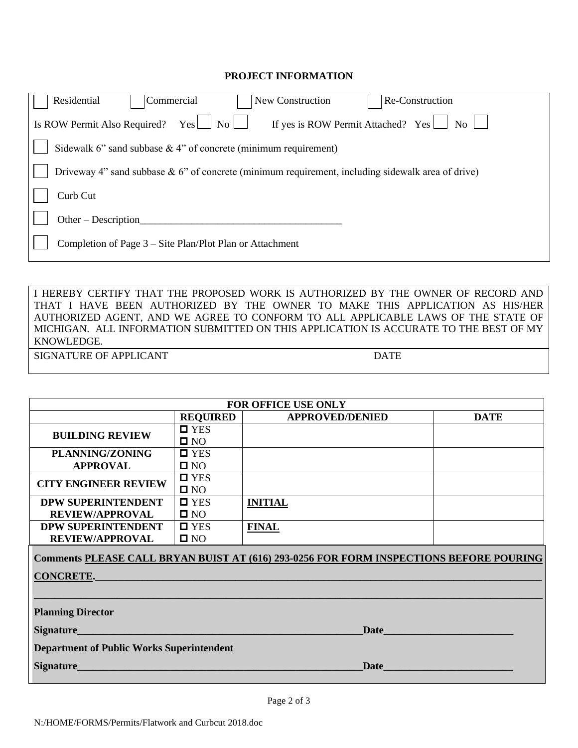#### **PROJECT INFORMATION**

| Residential<br>New Construction<br>Commercial<br>Re-Construction                                                 |  |  |  |  |  |  |  |  |  |  |
|------------------------------------------------------------------------------------------------------------------|--|--|--|--|--|--|--|--|--|--|
| If yes is ROW Permit Attached? Yes $\Box$ No $\Box$<br>Is ROW Permit Also Required?<br>$\overline{N_{0}}$<br>Yes |  |  |  |  |  |  |  |  |  |  |
| Sidewalk 6" sand subbase $\&$ 4" of concrete (minimum requirement)                                               |  |  |  |  |  |  |  |  |  |  |
| Driveway 4" sand subbase $\& 6$ " of concrete (minimum requirement, including sidewalk area of drive)            |  |  |  |  |  |  |  |  |  |  |
| Curb Cut                                                                                                         |  |  |  |  |  |  |  |  |  |  |
| $Other-Description$                                                                                              |  |  |  |  |  |  |  |  |  |  |
| Completion of Page 3 – Site Plan/Plot Plan or Attachment                                                         |  |  |  |  |  |  |  |  |  |  |
|                                                                                                                  |  |  |  |  |  |  |  |  |  |  |

I HEREBY CERTIFY THAT THE PROPOSED WORK IS AUTHORIZED BY THE OWNER OF RECORD AND THAT I HAVE BEEN AUTHORIZED BY THE OWNER TO MAKE THIS APPLICATION AS HIS/HER AUTHORIZED AGENT, AND WE AGREE TO CONFORM TO ALL APPLICABLE LAWS OF THE STATE OF MICHIGAN. ALL INFORMATION SUBMITTED ON THIS APPLICATION IS ACCURATE TO THE BEST OF MY KNOWLEDGE.

SIGNATURE OF APPLICANT DATE

| <b>FOR OFFICE USE ONLY</b>                       |                    |                                                                                          |             |  |  |  |  |  |  |  |
|--------------------------------------------------|--------------------|------------------------------------------------------------------------------------------|-------------|--|--|--|--|--|--|--|
|                                                  | <b>REQUIRED</b>    | <b>APPROVED/DENIED</b>                                                                   | <b>DATE</b> |  |  |  |  |  |  |  |
| <b>BUILDING REVIEW</b>                           | $\square$ YES      |                                                                                          |             |  |  |  |  |  |  |  |
|                                                  | $\square$ NO       |                                                                                          |             |  |  |  |  |  |  |  |
| PLANNING/ZONING                                  | $\blacksquare$ YES |                                                                                          |             |  |  |  |  |  |  |  |
| <b>APPROVAL</b>                                  | $\square$ NO       |                                                                                          |             |  |  |  |  |  |  |  |
| <b>CITY ENGINEER REVIEW</b>                      | $\square$ YES      |                                                                                          |             |  |  |  |  |  |  |  |
|                                                  | $\square$ NO       |                                                                                          |             |  |  |  |  |  |  |  |
| <b>DPW SUPERINTENDENT</b>                        | $\blacksquare$ YES | <b>INITIAL</b>                                                                           |             |  |  |  |  |  |  |  |
| <b>REVIEW/APPROVAL</b>                           | $\square$ NO       |                                                                                          |             |  |  |  |  |  |  |  |
| <b>DPW SUPERINTENDENT</b>                        | $\blacksquare$ YES | <b>FINAL</b>                                                                             |             |  |  |  |  |  |  |  |
| <b>REVIEW/APPROVAL</b>                           | $\square$ NO       |                                                                                          |             |  |  |  |  |  |  |  |
|                                                  |                    | Comments PLEASE CALL BRYAN BUIST AT (616) 293-0256 FOR FORM INSPECTIONS BEFORE POURING   |             |  |  |  |  |  |  |  |
| <b>CONCRETE.</b>                                 |                    |                                                                                          |             |  |  |  |  |  |  |  |
|                                                  |                    |                                                                                          |             |  |  |  |  |  |  |  |
|                                                  |                    |                                                                                          |             |  |  |  |  |  |  |  |
| <b>Planning Director</b>                         |                    |                                                                                          |             |  |  |  |  |  |  |  |
|                                                  |                    | Date <b>Date Date Date Date Date Date Date Date Date Date Date Date Date Date Date D</b> |             |  |  |  |  |  |  |  |
| <b>Department of Public Works Superintendent</b> |                    |                                                                                          |             |  |  |  |  |  |  |  |
| Signature                                        |                    | Date                                                                                     |             |  |  |  |  |  |  |  |
|                                                  |                    |                                                                                          |             |  |  |  |  |  |  |  |